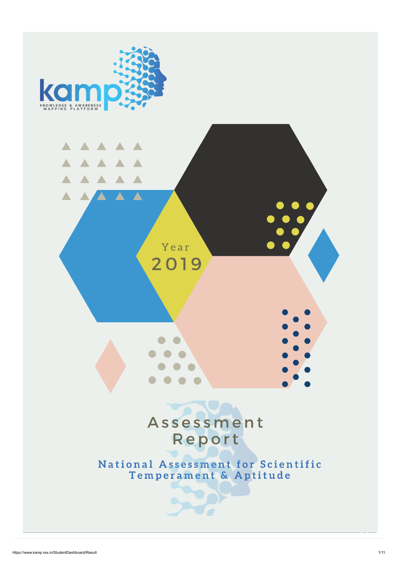



Assessment

# Report

## National Assessment for Scientific Temperament & Aptitude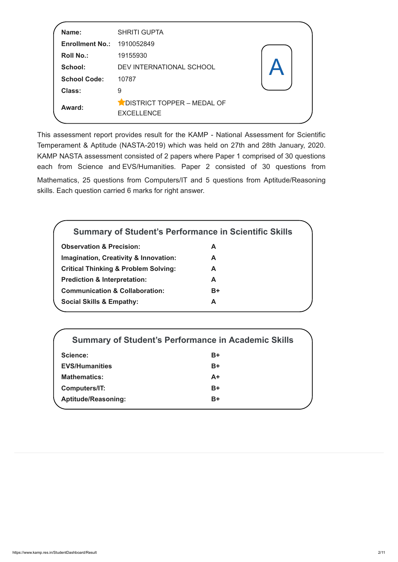This assessment report provides result for the KAMP - National Assessment for Scientific Temperament & Aptitude (NASTA-2019) which was held on 27th and 28th January, 2020. KAMP NASTA assessment consisted of 2 papers where Paper 1 comprised of 30 questions each from Science and EVS/Humanities. Paper 2 consisted of 30 questions from Mathematics, 25 questions from Computers/IT and 5 questions from Aptitude/Reasoning skills. Each question carried 6 marks for right answer.

| Name:<br><b>Enrollment No.:</b><br><b>Roll No.:</b><br><b>School:</b><br><b>School Code:</b> | <b>SHRITI GUPTA</b><br>1910052849<br>19155930<br>DEV INTERNATIONAL SCHOOL<br>10787 |  |
|----------------------------------------------------------------------------------------------|------------------------------------------------------------------------------------|--|
| <b>Class:</b>                                                                                | 9                                                                                  |  |
| Award:                                                                                       | DISTRICT TOPPER - MEDAL OF<br><b>EXCELLENCE</b>                                    |  |

| <b>Summary of Student's Performance in Scientific Skills</b> |      |  |
|--------------------------------------------------------------|------|--|
| <b>Observation &amp; Precision:</b>                          | A    |  |
| <b>Imagination, Creativity &amp; Innovation:</b>             | A    |  |
| <b>Critical Thinking &amp; Problem Solving:</b>              | A    |  |
| <b>Prediction &amp; Interpretation:</b>                      | A    |  |
| <b>Communication &amp; Collaboration:</b>                    | $B+$ |  |
| <b>Social Skills &amp; Empathy:</b>                          | А    |  |
|                                                              |      |  |

|                            | <b>Summary of Student's Performance in Academic Skills</b> |
|----------------------------|------------------------------------------------------------|
| <b>Science:</b>            | $B+$                                                       |
| <b>EVS/Humanities</b>      | $B+$                                                       |
| <b>Mathematics:</b>        | $A+$                                                       |
| <b>Computers/IT:</b>       | $B+$                                                       |
| <b>Aptitude/Reasoning:</b> | $B+$                                                       |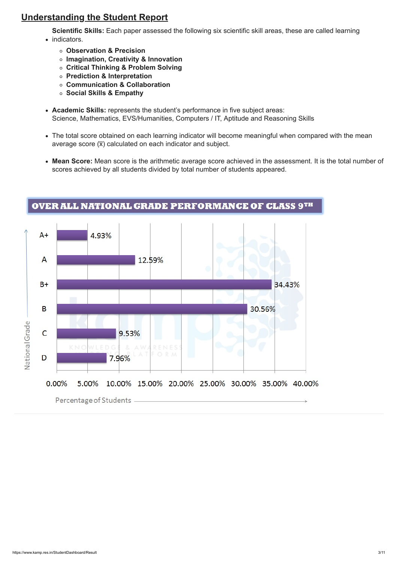### Understanding the Student Report

Scientific Skills: Each paper assessed the following six scientific skill areas, these are called learning

- indicators.
	- Observation & Precision
	- o Imagination, Creativity & Innovation
	- Critical Thinking & Problem Solving
	- Prediction & Interpretation
	- Communication & Collaboration
	- o Social Skills & Empathy
- Academic Skills: represents the student's performance in five subject areas: Science, Mathematics, EVS/Humanities, Computers / IT, Aptitude and Reasoning Skills
- The total score obtained on each learning indicator will become meaningful when compared with the mean average score  $(\overline{x})$  calculated on each indicator and subject.
- Mean Score: Mean score is the arithmetic average score achieved in the assessment. It is the total number of scores achieved by all students divided by total number of students appeared.



### OVER ALL NATIONAL GRADE PERFORMANCE OF CLASS 9TH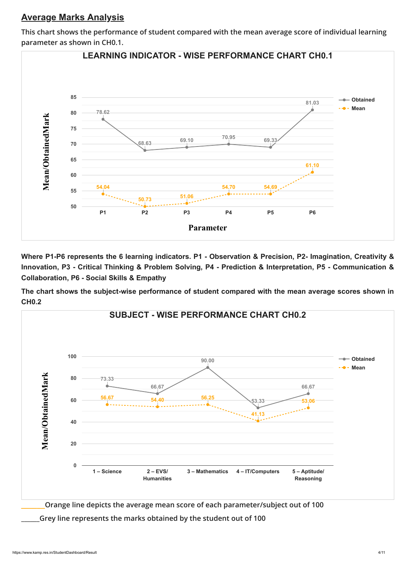### Average Marks Analysis

This chart shows the performance of student compared with the mean average score of individual learning parameter as shown in CH0.1.

Where P1-P6 represents the 6 learning indicators. P1 - Observation & Precision, P2- Imagination, Creativity & Innovation, P3 - Critical Thinking & Problem Solving, P4 - Prediction & Interpretation, P5 - Communication & Collaboration, P6 - Social Skills & Empathy

The chart shows the subject-wise performance of student compared with the mean average scores shown in CH0.2



\_\_\_\_\_\_Orange line depicts the average mean score of each parameter/subject out of 100

\_\_\_\_\_\_Grey line represents the marks obtained by the student out of 100

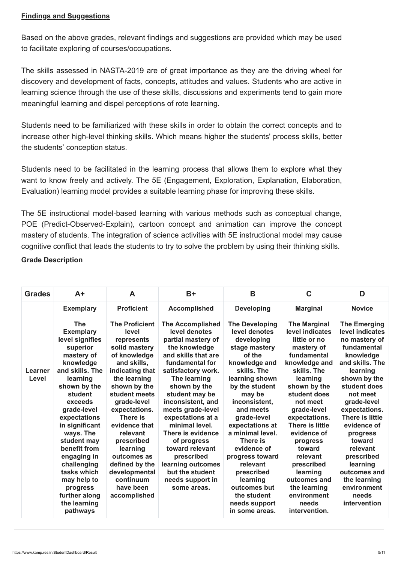### Findings and Suggestions

Based on the above grades, relevant findings and suggestions are provided which may be used to facilitate exploring of courses/occupations.

The skills assessed in NASTA-2019 are of great importance as they are the driving wheel for discovery and development of facts, concepts, attitudes and values. Students who are active in learning science through the use of these skills, discussions and experiments tend to gain more meaningful learning and dispel perceptions of rote learning.

Students need to be familiarized with these skills in order to obtain the correct concepts and to increase other high-level thinking skills. Which means higher the students' process skills, better the students' conception status.

Students need to be facilitated in the learning process that allows them to explore what they want to know freely and actively. The 5E (Engagement, Exploration, Explanation, Elaboration, Evaluation) learning model provides a suitable learning phase for improving these skills.

The 5E instructional model-based learning with various methods such as conceptual change, POE (Predict-Observed-Explain), cartoon concept and animation can improve the concept mastery of students. The integration of science activities with 5E instructional model may cause cognitive conflict that leads the students to try to solve the problem by using their thinking skills.

### Grade Description

in significant ways. The student may benefit from engaging in challenging tasks which may help to progress further along the learning pathways

evidence that relevant prescribed learning outcomes as defined by the developmental continuum have been accomplished

| <b>Grades</b>           | $A+$                                                                                                                                                                                         | A                                                                                                                                                                                                                                                          | $B+$                                                                                                                                                                                                                                                                                           | B                                                                                                                                                                                                          | C                                                                                                                                                                                                                                          | D                                                                                                                                                                                                                                             |
|-------------------------|----------------------------------------------------------------------------------------------------------------------------------------------------------------------------------------------|------------------------------------------------------------------------------------------------------------------------------------------------------------------------------------------------------------------------------------------------------------|------------------------------------------------------------------------------------------------------------------------------------------------------------------------------------------------------------------------------------------------------------------------------------------------|------------------------------------------------------------------------------------------------------------------------------------------------------------------------------------------------------------|--------------------------------------------------------------------------------------------------------------------------------------------------------------------------------------------------------------------------------------------|-----------------------------------------------------------------------------------------------------------------------------------------------------------------------------------------------------------------------------------------------|
|                         | <b>Exemplary</b>                                                                                                                                                                             | <b>Proficient</b>                                                                                                                                                                                                                                          | <b>Accomplished</b>                                                                                                                                                                                                                                                                            | <b>Developing</b>                                                                                                                                                                                          | <b>Marginal</b>                                                                                                                                                                                                                            | <b>Novice</b>                                                                                                                                                                                                                                 |
| <b>Learner</b><br>Level | <b>The</b><br><b>Exemplary</b><br>level signifies<br>superior<br>mastery of<br>knowledge<br>and skills. The<br>learning<br>shown by the<br>student<br>exceeds<br>grade-level<br>expectations | <b>The Proficient</b><br>level<br>represents<br>solid mastery<br>of knowledge<br>and skills,<br>indicating that<br>the learning<br>shown by the<br>student meets<br>grade-level<br>expectations.<br>There is<br>التقاط والقارب والمتواط والمتالين والمساوي | <b>The Accomplished</b><br>level denotes<br>partial mastery of<br>the knowledge<br>and skills that are<br>fundamental for<br>satisfactory work.<br>The learning<br>shown by the<br>student may be<br>inconsistent, and<br>meets grade-level<br>expectations at a<br>والمستحدا المستعدد للمناسب | <b>The Developing</b><br>level denotes<br>developing<br>stage mastery<br>of the<br>knowledge and<br>skills. The<br>learning shown<br>by the student<br>may be<br>inconsistent,<br>and meets<br>grade-level | <b>The Marginal</b><br>level indicates<br>little or no<br>mastery of<br>fundamental<br>knowledge and<br>skills. The<br>learning<br>shown by the<br>student does<br>not meet<br>grade-level<br>expectations.<br>The concert of the field of | <b>The Emerging</b><br>level indicates<br>no mastery of<br>fundamental<br>knowledge<br>and skills. The<br>learning<br>shown by the<br>student does<br>not meet<br>grade-level<br>expectations.<br>There is little<br>الكامل المتحدد والملامية |

minimal level. There is evidence of progress toward relevant prescribed learning outcomes but the student needs support in some areas.

expectations at a minimal level. There is evidence of progress toward relevant prescribed learning outcomes but the student needs support in some areas.

There is little evidence of progress toward relevant prescribed learning outcomes and the learning environment needs intervention.

evidence of progress toward relevant prescribed learning outcomes and the learning environment needs intervention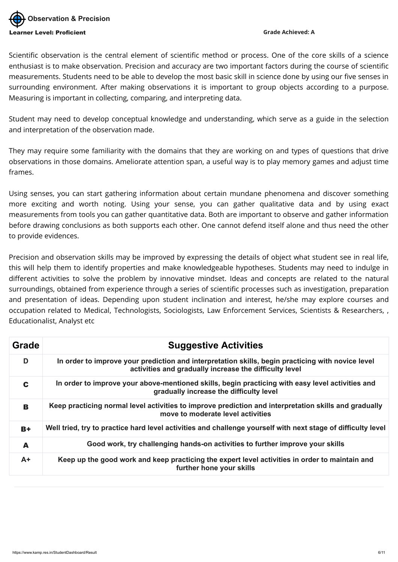Scientific observation is the central element of scientific method or process. One of the core skills of a science enthusiast is to make observation. Precision and accuracy are two important factors during the course of scientific measurements. Students need to be able to develop the most basic skill in science done by using our five senses in surrounding environment. After making observations it is important to group objects according to a purpose. Measuring is important in collecting, comparing, and interpreting data.

Student may need to develop conceptual knowledge and understanding, which serve as a guide in the selection and interpretation of the observation made.

They may require some familiarity with the domains that they are working on and types of questions that drive observations in those domains. Ameliorate attention span, a useful way is to play memory games and adjust time frames.

Using senses, you can start gathering information about certain mundane phenomena and discover something more exciting and worth noting. Using your sense, you can gather qualitative data and by using exact measurements from tools you can gather quantitative data. Both are important to observe and gather information before drawing conclusions as both supports each other. One cannot defend itself alone and thus need the other to provide evidences.



Precision and observation skills may be improved by expressing the details of object what student see in real life, this will help them to identify properties and make knowledgeable hypotheses. Students may need to indulge in different activities to solve the problem by innovative mindset. Ideas and concepts are related to the natural surroundings, obtained from experience through a series of scientific processes such as investigation, preparation and presentation of ideas. Depending upon student inclination and interest, he/she may explore courses and occupation related to Medical, Technologists, Sociologists, Law Enforcement Services, Scientists & Researchers, , Educationalist, Analyst etc

| <b>Grade</b> | <b>Suggestive Activities</b>                                                                                                                                |
|--------------|-------------------------------------------------------------------------------------------------------------------------------------------------------------|
| D            | In order to improve your prediction and interpretation skills, begin practicing with novice level<br>activities and gradually increase the difficulty level |
| C            | In order to improve your above-mentioned skills, begin practicing with easy level activities and<br>gradually increase the difficulty level                 |
| B            | Keep practicing normal level activities to improve prediction and interpretation skills and gradually<br>move to moderate level activities                  |

| $B +$ | Well tried, try to practice hard level activities and challenge yourself with next stage of difficulty level               |
|-------|----------------------------------------------------------------------------------------------------------------------------|
| A     | Good work, try challenging hands-on activities to further improve your skills                                              |
| $A+$  | Keep up the good work and keep practicing the expert level activities in order to maintain and<br>further hone your skills |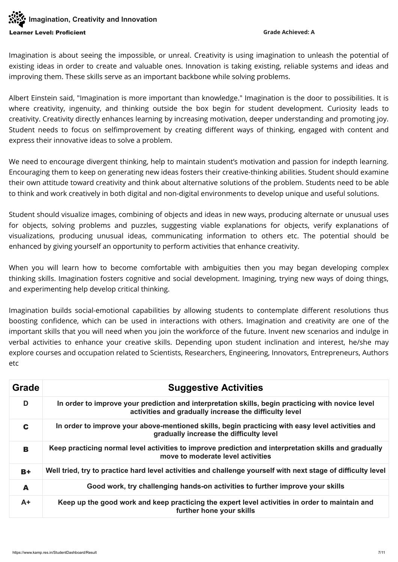### **Imagination, Creativity and Innovation** earner Level: Proficient Grade Achieved: A

Imagination is about seeing the impossible, or unreal. Creativity is using imagination to unleash the potential of existing ideas in order to create and valuable ones. Innovation is taking existing, reliable systems and ideas and improving them. These skills serve as an important backbone while solving problems.

Albert Einstein said, "Imagination is more important than knowledge." Imagination is the door to possibilities. It is where creativity, ingenuity, and thinking outside the box begin for student development. Curiosity leads to creativity. Creativity directly enhances learning by increasing motivation, deeper understanding and promoting joy. Student needs to focus on selfimprovement by creating different ways of thinking, engaged with content and express their innovative ideas to solve a problem.

We need to encourage divergent thinking, help to maintain student's motivation and passion for indepth learning. Encouraging them to keep on generating new ideas fosters their creative-thinking abilities. Student should examine their own attitude toward creativity and think about alternative solutions of the problem. Students need to be able to think and work creatively in both digital and non-digital environments to develop unique and useful solutions.

Imagination builds social-emotional capabilities by allowing students to contemplate different resolutions thus boosting confidence, which can be used in interactions with others. Imagination and creativity are one of the important skills that you will need when you join the workforce of the future. Invent new scenarios and indulge in verbal activities to enhance your creative skills. Depending upon student inclination and interest, he/she may explore courses and occupation related to Scientists, Researchers, Engineering, Innovators, Entrepreneurs, Authors etc

Student should visualize images, combining of objects and ideas in new ways, producing alternate or unusual uses for objects, solving problems and puzzles, suggesting viable explanations for objects, verify explanations of visualizations, producing unusual ideas, communicating information to others etc. The potential should be enhanced by giving yourself an opportunity to perform activities that enhance creativity.

When you will learn how to become comfortable with ambiguities then you may began developing complex thinking skills. Imagination fosters cognitive and social development. Imagining, trying new ways of doing things, and experimenting help develop critical thinking.

| Grade | <b>Suggestive Activities</b>                                                                                                                                |
|-------|-------------------------------------------------------------------------------------------------------------------------------------------------------------|
| D     | In order to improve your prediction and interpretation skills, begin practicing with novice level<br>activities and gradually increase the difficulty level |
| C     | In order to improve your above-mentioned skills, begin practicing with easy level activities and<br>gradually increase the difficulty level                 |
| B     | Keep practicing normal level activities to improve prediction and interpretation skills and gradually<br>move to moderate level activities                  |
| $B +$ | Well tried, try to practice hard level activities and challenge yourself with next stage of difficulty level                                                |
| A     | Good work, try challenging hands-on activities to further improve your skills                                                                               |
| $A+$  | Keep up the good work and keep practicing the expert level activities in order to maintain and<br>further hone your skills                                  |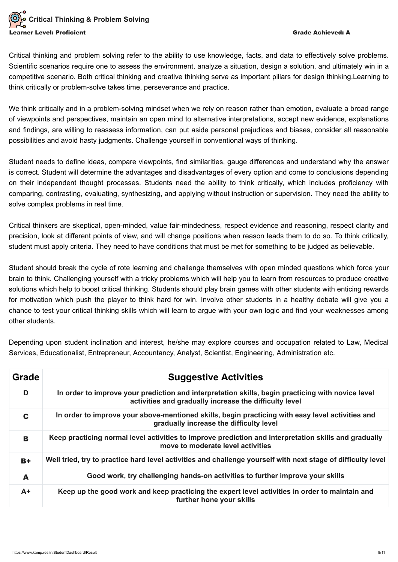## Critical Thinking & Problem Solving rner Level: Proficient Grade Achieved: A chieved: A chieved: A chieved: A chieved: A chieved: A chieved: A chieved: A

Critical thinking and problem solving refer to the ability to use knowledge, facts, and data to effectively solve problems. Scientific scenarios require one to assess the environment, analyze a situation, design a solution, and ultimately win in a competitive scenario. Both critical thinking and creative thinking serve as important pillars for design thinking.Learning to think critically or problem-solve takes time, perseverance and practice.

We think critically and in a problem-solving mindset when we rely on reason rather than emotion, evaluate a broad range of viewpoints and perspectives, maintain an open mind to alternative interpretations, accept new evidence, explanations and findings, are willing to reassess information, can put aside personal prejudices and biases, consider all reasonable possibilities and avoid hasty judgments. Challenge yourself in conventional ways of thinking.

Student needs to define ideas, compare viewpoints, find similarities, gauge differences and understand why the answer is correct. Student will determine the advantages and disadvantages of every option and come to conclusions depending on their independent thought processes. Students need the ability to think critically, which includes proficiency with comparing, contrasting, evaluating, synthesizing, and applying without instruction or supervision. They need the ability to solve complex problems in real time.

Critical thinkers are skeptical, open-minded, value fair-mindedness, respect evidence and reasoning, respect clarity and precision, look at different points of view, and will change positions when reason leads them to do so. To think critically, student must apply criteria. They need to have conditions that must be met for something to be judged as believable.

Student should break the cycle of rote learning and challenge themselves with open minded questions which force your brain to think. Challenging yourself with a tricky problems which will help you to learn from resources to produce creative solutions which help to boost critical thinking. Students should play brain games with other students with enticing rewards for motivation which push the player to think hard for win. Involve other students in a healthy debate will give you a chance to test your critical thinking skills which will learn to argue with your own logic and find your weaknesses among other students.

Depending upon student inclination and interest, he/she may explore courses and occupation related to Law, Medical Services, Educationalist, Entrepreneur, Accountancy, Analyst, Scientist, Engineering, Administration etc.

| Grade | <b>Suggestive Activities</b>                                                                                                                                |
|-------|-------------------------------------------------------------------------------------------------------------------------------------------------------------|
| D     | In order to improve your prediction and interpretation skills, begin practicing with novice level<br>activities and gradually increase the difficulty level |
| C     | In order to improve your above-mentioned skills, begin practicing with easy level activities and<br>gradually increase the difficulty level                 |
| B     | Keep practicing normal level activities to improve prediction and interpretation skills and gradually<br>move to moderate level activities                  |
| $B +$ | Well tried, try to practice hard level activities and challenge yourself with next stage of difficulty level                                                |
| A     | Good work, try challenging hands-on activities to further improve your skills                                                                               |
| $A+$  | Keep up the good work and keep practicing the expert level activities in order to maintain and<br>further hone your skills                                  |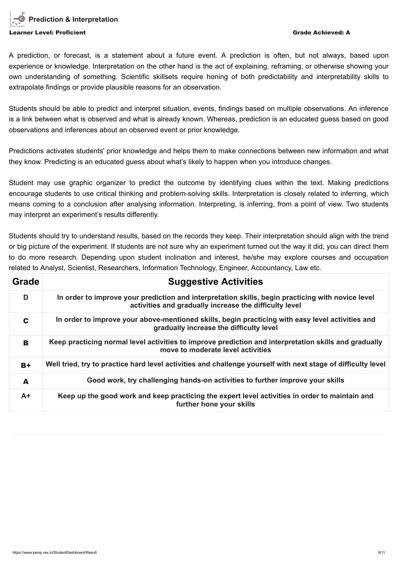

A prediction, or forecast, is a statement about a future event. A prediction is often, but not always, based upon experience or knowledge. Interpretation on the other hand is the act of explaining, reframing, or otherwise showing your own understanding of something. Scientific skillsets require honing of both predictability and interpretability skills to extrapolate findings or provide plausible reasons for an observation.

Students should be able to predict and interpret situation, events, findings based on multiple observations. An inference is a link between what is observed and what is already known. Whereas, prediction is an educated guess based on good observations and inferences about an observed event or prior knowledge.

Predictions activates students' prior knowledge and helps them to make connections between new information and what they know. Predicting is an educated guess about what's likely to happen when you introduce changes.

Student may use graphic organizer to predict the outcome by identifying clues within the text. Making predictions encourage students to use critical thinking and problem-solving skills. Interpretation is closely related to inferring, which means coming to a conclusion after analysing information. Interpreting, is inferring, from a point of view. Two students may interpret an experiment's results differently.

Students should try to understand results, based on the records they keep. Their interpretation should align with the trend or big picture of the experiment. If students are not sure why an experiment turned out the way it did, you can direct them to do more research. Depending upon student inclination and interest, he/she may explore courses and occupation related to Analyst, Scientist, Researchers, Information Technology, Engineer, Accountancy, Law etc.

| Grade | <b>Suggestive Activities</b>                                                                                                                                |
|-------|-------------------------------------------------------------------------------------------------------------------------------------------------------------|
| D     | In order to improve your prediction and interpretation skills, begin practicing with novice level<br>activities and gradually increase the difficulty level |
| C     | In order to improve your above-mentioned skills, begin practicing with easy level activities and<br>gradually increase the difficulty level                 |
| B     | Keep practicing normal level activities to improve prediction and interpretation skills and gradually<br>move to moderate level activities                  |
| $B+$  | Well tried, try to practice hard level activities and challenge yourself with next stage of difficulty level                                                |
| A     | Good work, try challenging hands-on activities to further improve your skills                                                                               |
| $A+$  | Keep up the good work and keep practicing the expert level activities in order to maintain and<br>further hone your skills                                  |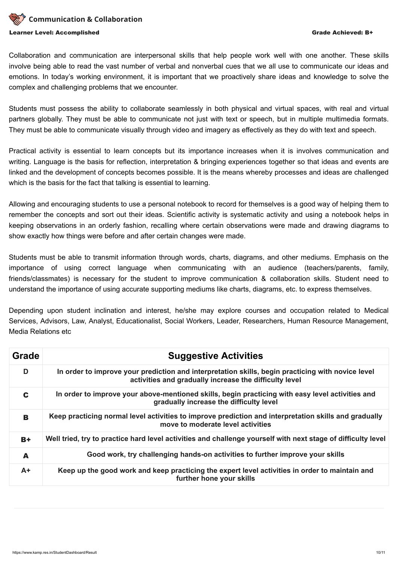

Collaboration and communication are interpersonal skills that help people work well with one another. These skills involve being able to read the vast number of verbal and nonverbal cues that we all use to communicate our ideas and emotions. In today's working environment, it is important that we proactively share ideas and knowledge to solve the complex and challenging problems that we encounter.

Students must possess the ability to collaborate seamlessly in both physical and virtual spaces, with real and virtual partners globally. They must be able to communicate not just with text or speech, but in multiple multimedia formats. They must be able to communicate visually through video and imagery as effectively as they do with text and speech.

Practical activity is essential to learn concepts but its importance increases when it is involves communication and writing. Language is the basis for reflection, interpretation & bringing experiences together so that ideas and events are linked and the development of concepts becomes possible. It is the means whereby processes and ideas are challenged which is the basis for the fact that talking is essential to learning.

Allowing and encouraging students to use a personal notebook to record for themselves is a good way of helping them to remember the concepts and sort out their ideas. Scientific activity is systematic activity and using a notebook helps in keeping observations in an orderly fashion, recalling where certain observations were made and drawing diagrams to show exactly how things were before and after certain changes were made.

Students must be able to transmit information through words, charts, diagrams, and other mediums. Emphasis on the importance of using correct language when communicating with an audience (teachers/parents, family, friends/classmates) is necessary for the student to improve communication & collaboration skills. Student need to understand the importance of using accurate supporting mediums like charts, diagrams, etc. to express themselves.

Depending upon student inclination and interest, he/she may explore courses and occupation related to Medical Services, Advisors, Law, Analyst, Educationalist, Social Workers, Leader, Researchers, Human Resource Management, Media Relations etc

| <b>Grade</b> | <b>Suggestive Activities</b>                                                                                                                                |
|--------------|-------------------------------------------------------------------------------------------------------------------------------------------------------------|
| D            | In order to improve your prediction and interpretation skills, begin practicing with novice level<br>activities and gradually increase the difficulty level |
| C            | In order to improve your above-mentioned skills, begin practicing with easy level activities and<br>gradually increase the difficulty level                 |
| B            | Keep practicing normal level activities to improve prediction and interpretation skills and gradually<br>move to moderate level activities                  |
| $B+$         | Well tried, try to practice hard level activities and challenge yourself with next stage of difficulty level                                                |
| A            | Good work, try challenging hands-on activities to further improve your skills                                                                               |
| $A+$         | Keep up the good work and keep practicing the expert level activities in order to maintain and<br>further hone your skills                                  |